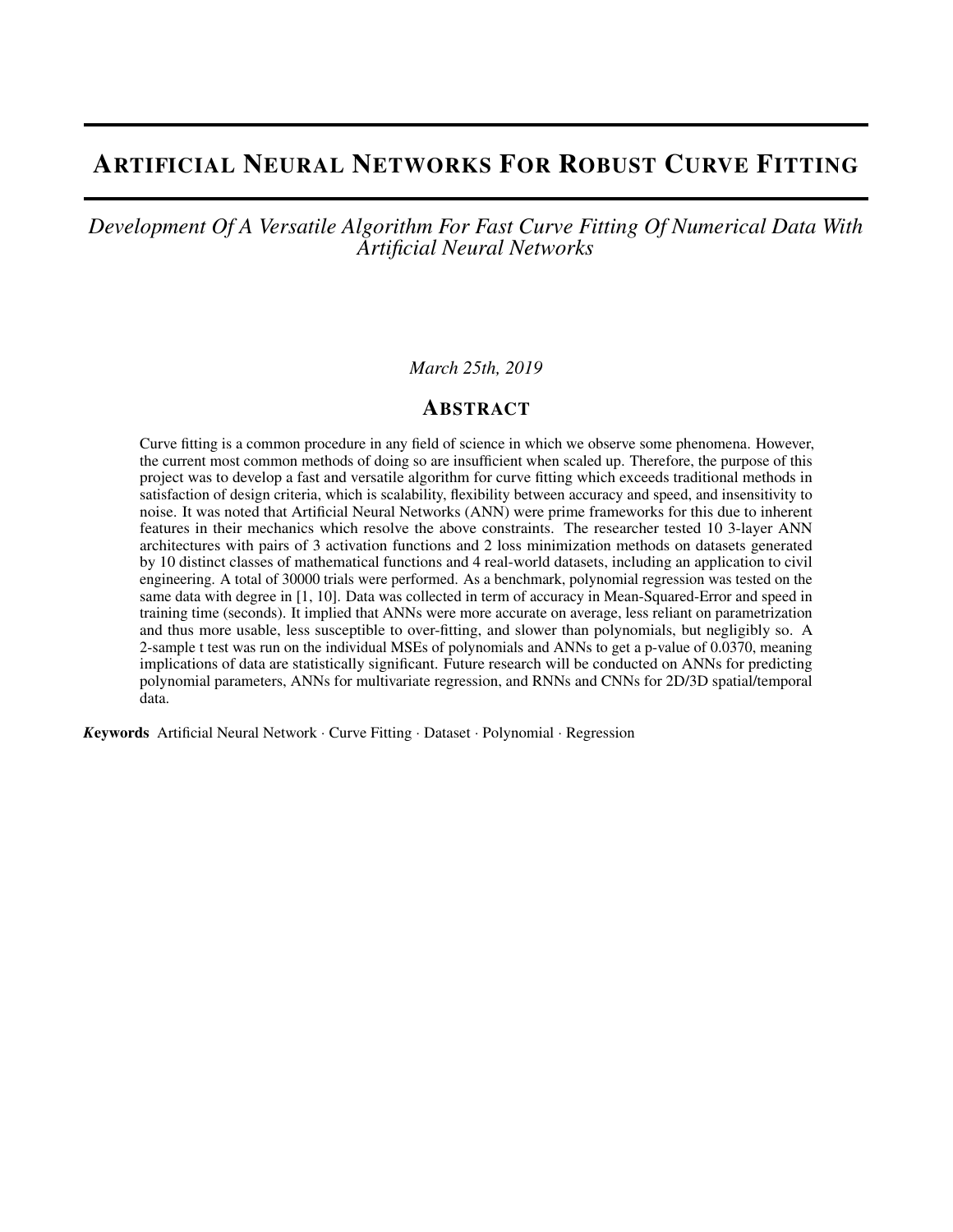# ARTIFICIAL NEURAL NETWORKS FOR ROBUST CURVE FITTING

### *Development Of A Versatile Algorithm For Fast Curve Fitting Of Numerical Data With Artificial Neural Networks*

#### *March 25th, 2019*

#### ABSTRACT

Curve fitting is a common procedure in any field of science in which we observe some phenomena. However, the current most common methods of doing so are insufficient when scaled up. Therefore, the purpose of this project was to develop a fast and versatile algorithm for curve fitting which exceeds traditional methods in satisfaction of design criteria, which is scalability, flexibility between accuracy and speed, and insensitivity to noise. It was noted that Artificial Neural Networks (ANN) were prime frameworks for this due to inherent features in their mechanics which resolve the above constraints. The researcher tested 10 3-layer ANN architectures with pairs of 3 activation functions and 2 loss minimization methods on datasets generated by 10 distinct classes of mathematical functions and 4 real-world datasets, including an application to civil engineering. A total of 30000 trials were performed. As a benchmark, polynomial regression was tested on the same data with degree in [1, 10]. Data was collected in term of accuracy in Mean-Squared-Error and speed in training time (seconds). It implied that ANNs were more accurate on average, less reliant on parametrization and thus more usable, less susceptible to over-fitting, and slower than polynomials, but negligibly so. A 2-sample t test was run on the individual MSEs of polynomials and ANNs to get a p-value of 0.0370, meaning implications of data are statistically significant. Future research will be conducted on ANNs for predicting polynomial parameters, ANNs for multivariate regression, and RNNs and CNNs for 2D/3D spatial/temporal data.

*K*eywords Artificial Neural Network · Curve Fitting · Dataset · Polynomial · Regression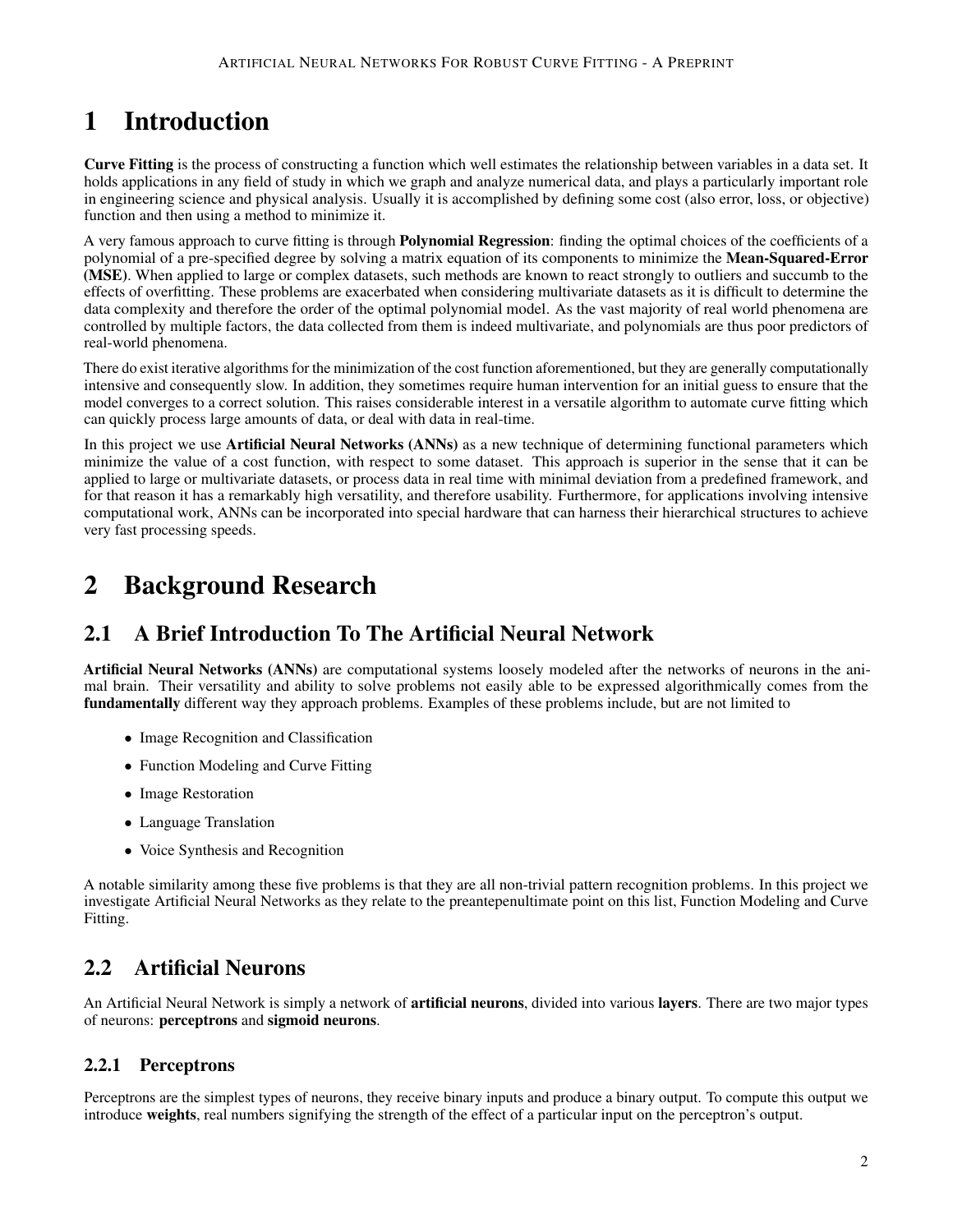# 1 Introduction

Curve Fitting is the process of constructing a function which well estimates the relationship between variables in a data set. It holds applications in any field of study in which we graph and analyze numerical data, and plays a particularly important role in engineering science and physical analysis. Usually it is accomplished by defining some cost (also error, loss, or objective) function and then using a method to minimize it.

A very famous approach to curve fitting is through Polynomial Regression: finding the optimal choices of the coefficients of a polynomial of a pre-specified degree by solving a matrix equation of its components to minimize the Mean-Squared-Error (MSE). When applied to large or complex datasets, such methods are known to react strongly to outliers and succumb to the effects of overfitting. These problems are exacerbated when considering multivariate datasets as it is difficult to determine the data complexity and therefore the order of the optimal polynomial model. As the vast majority of real world phenomena are controlled by multiple factors, the data collected from them is indeed multivariate, and polynomials are thus poor predictors of real-world phenomena.

There do exist iterative algorithms for the minimization of the cost function aforementioned, but they are generally computationally intensive and consequently slow. In addition, they sometimes require human intervention for an initial guess to ensure that the model converges to a correct solution. This raises considerable interest in a versatile algorithm to automate curve fitting which can quickly process large amounts of data, or deal with data in real-time.

In this project we use Artificial Neural Networks (ANNs) as a new technique of determining functional parameters which minimize the value of a cost function, with respect to some dataset. This approach is superior in the sense that it can be applied to large or multivariate datasets, or process data in real time with minimal deviation from a predefined framework, and for that reason it has a remarkably high versatility, and therefore usability. Furthermore, for applications involving intensive computational work, ANNs can be incorporated into special hardware that can harness their hierarchical structures to achieve very fast processing speeds.

# 2 Background Research

# 2.1 A Brief Introduction To The Artificial Neural Network

Artificial Neural Networks (ANNs) are computational systems loosely modeled after the networks of neurons in the animal brain. Their versatility and ability to solve problems not easily able to be expressed algorithmically comes from the fundamentally different way they approach problems. Examples of these problems include, but are not limited to

- Image Recognition and Classification
- Function Modeling and Curve Fitting
- Image Restoration
- Language Translation
- Voice Synthesis and Recognition

A notable similarity among these five problems is that they are all non-trivial pattern recognition problems. In this project we investigate Artificial Neural Networks as they relate to the preantepenultimate point on this list, Function Modeling and Curve Fitting.

# 2.2 Artificial Neurons

An Artificial Neural Network is simply a network of **artificial neurons**, divided into various **layers**. There are two major types of neurons: perceptrons and sigmoid neurons.

### 2.2.1 Perceptrons

Perceptrons are the simplest types of neurons, they receive binary inputs and produce a binary output. To compute this output we introduce weights, real numbers signifying the strength of the effect of a particular input on the perceptron's output.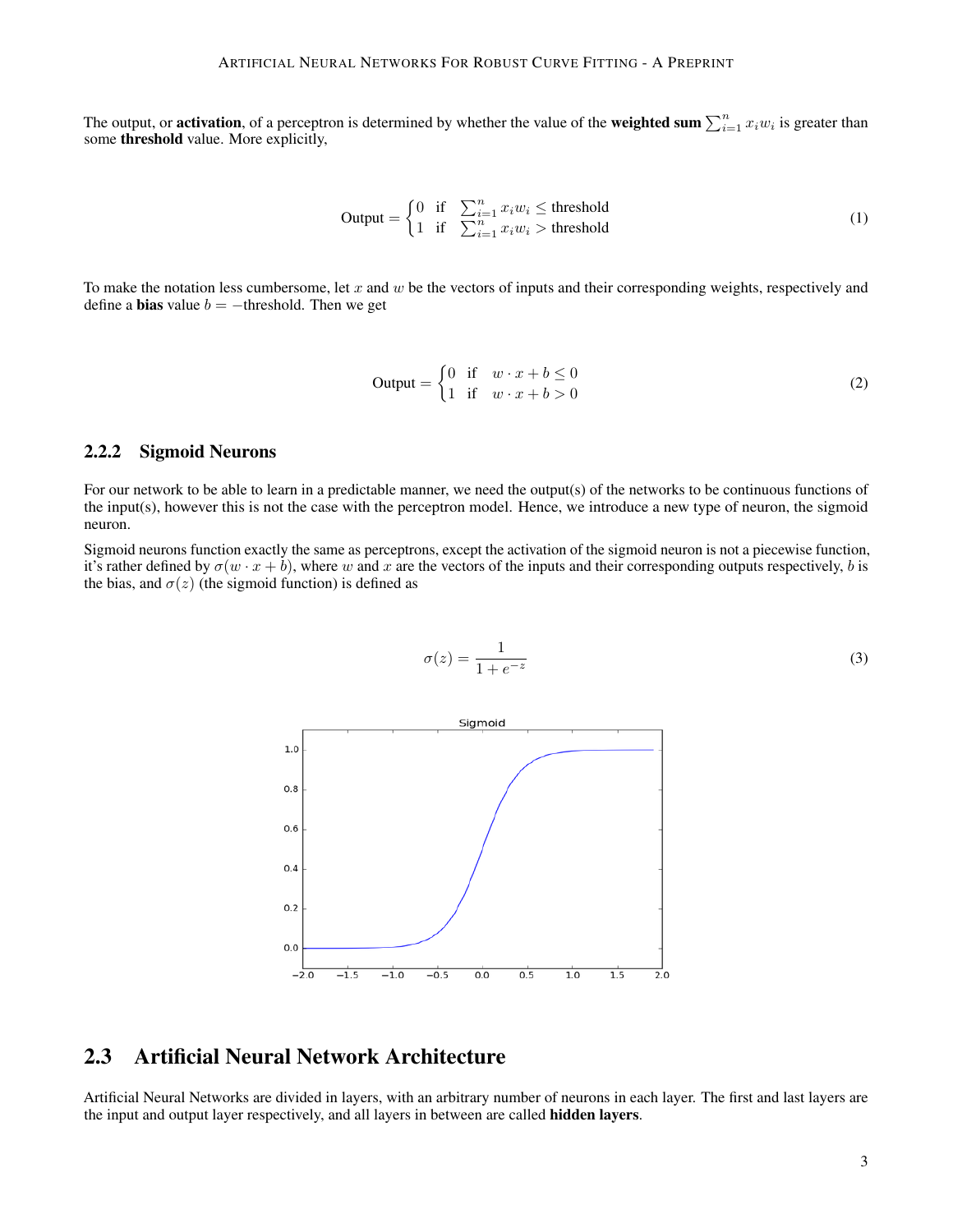The output, or **activation**, of a perceptron is determined by whether the value of the **weighted sum**  $\sum_{i=1}^{n} x_i w_i$  is greater than some threshold value. More explicitly,

$$
\text{Output} = \begin{cases} 0 & \text{if } \sum_{i=1}^{n} x_i w_i \le \text{threshold} \\ 1 & \text{if } \sum_{i=1}^{n} x_i w_i > \text{threshold} \end{cases} \tag{1}
$$

To make the notation less cumbersome, let  $x$  and  $w$  be the vectors of inputs and their corresponding weights, respectively and define a **bias** value  $b = -$ threshold. Then we get

$$
\text{Output} = \begin{cases} 0 & \text{if } w \cdot x + b \le 0 \\ 1 & \text{if } w \cdot x + b > 0 \end{cases} \tag{2}
$$

#### 2.2.2 Sigmoid Neurons

For our network to be able to learn in a predictable manner, we need the output(s) of the networks to be continuous functions of the input(s), however this is not the case with the perceptron model. Hence, we introduce a new type of neuron, the sigmoid neuron.

Sigmoid neurons function exactly the same as perceptrons, except the activation of the sigmoid neuron is not a piecewise function, it's rather defined by  $\sigma(w \cdot x + b)$ , where w and x are the vectors of the inputs and their corresponding outputs respectively, b is the bias, and  $\sigma(z)$  (the sigmoid function) is defined as

$$
\sigma(z) = \frac{1}{1 + e^{-z}}\tag{3}
$$



### 2.3 Artificial Neural Network Architecture

Artificial Neural Networks are divided in layers, with an arbitrary number of neurons in each layer. The first and last layers are the input and output layer respectively, and all layers in between are called **hidden layers**.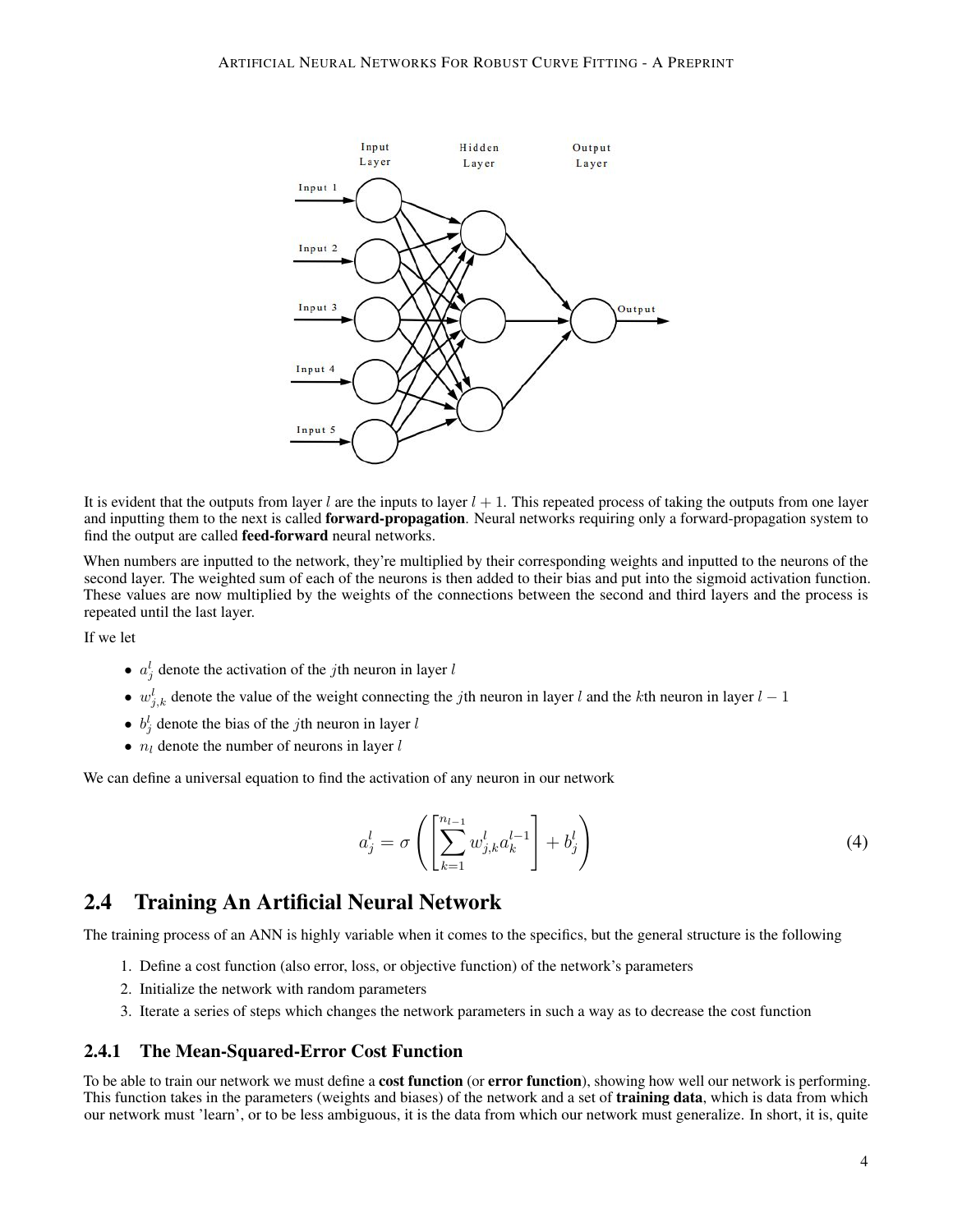

It is evident that the outputs from layer l are the inputs to layer  $l + 1$ . This repeated process of taking the outputs from one layer and inputting them to the next is called **forward-propagation**. Neural networks requiring only a forward-propagation system to find the output are called feed-forward neural networks.

When numbers are inputted to the network, they're multiplied by their corresponding weights and inputted to the neurons of the second layer. The weighted sum of each of the neurons is then added to their bias and put into the sigmoid activation function. These values are now multiplied by the weights of the connections between the second and third layers and the process is repeated until the last layer.

If we let

- $a_j^l$  denote the activation of the *j*th neuron in layer *l*
- $w_{j,k}^l$  denote the value of the weight connecting the jth neuron in layer l and the kth neuron in layer  $l-1$
- $b_j^l$  denote the bias of the *j*th neuron in layer l
- $n_l$  denote the number of neurons in layer  $l$

We can define a universal equation to find the activation of any neuron in our network

$$
a_j^l = \sigma\left(\left[\sum_{k=1}^{n_{l-1}} w_{j,k}^l a_k^{l-1}\right] + b_j^l\right) \tag{4}
$$

### 2.4 Training An Artificial Neural Network

The training process of an ANN is highly variable when it comes to the specifics, but the general structure is the following

- 1. Define a cost function (also error, loss, or objective function) of the network's parameters
- 2. Initialize the network with random parameters
- 3. Iterate a series of steps which changes the network parameters in such a way as to decrease the cost function

#### 2.4.1 The Mean-Squared-Error Cost Function

To be able to train our network we must define a **cost function** (or **error function**), showing how well our network is performing. This function takes in the parameters (weights and biases) of the network and a set of **training data**, which is data from which our network must 'learn', or to be less ambiguous, it is the data from which our network must generalize. In short, it is, quite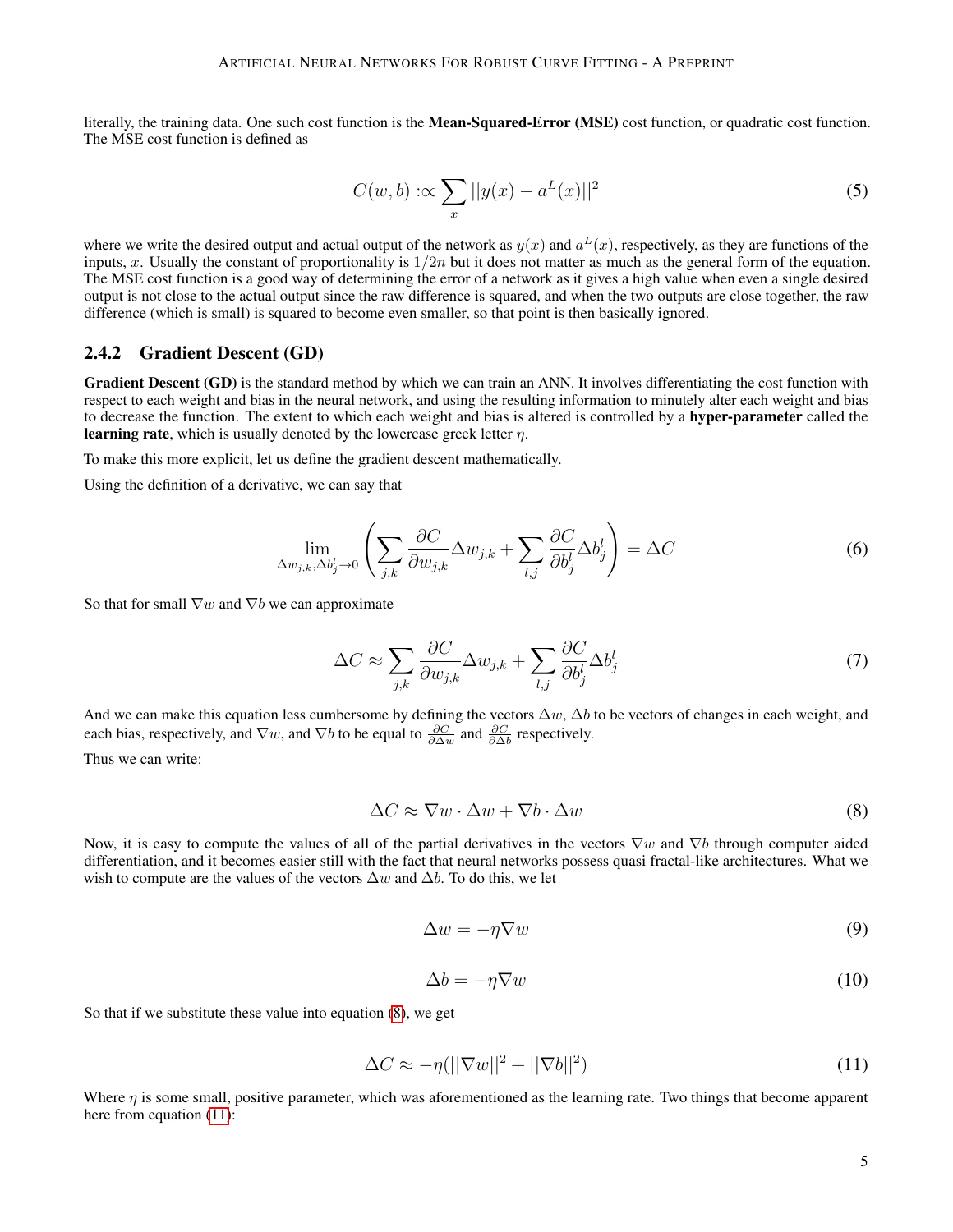literally, the training data. One such cost function is the **Mean-Squared-Error (MSE)** cost function, or quadratic cost function. The MSE cost function is defined as

$$
C(w, b) : \propto \sum_{x} ||y(x) - a^{L}(x)||^{2}
$$
 (5)

where we write the desired output and actual output of the network as  $y(x)$  and  $a<sup>L</sup>(x)$ , respectively, as they are functions of the inputs, x. Usually the constant of proportionality is  $1/2n$  but it does not matter as much as the general form of the equation. The MSE cost function is a good way of determining the error of a network as it gives a high value when even a single desired output is not close to the actual output since the raw difference is squared, and when the two outputs are close together, the raw difference (which is small) is squared to become even smaller, so that point is then basically ignored.

#### 2.4.2 Gradient Descent (GD)

Gradient Descent (GD) is the standard method by which we can train an ANN. It involves differentiating the cost function with respect to each weight and bias in the neural network, and using the resulting information to minutely alter each weight and bias to decrease the function. The extent to which each weight and bias is altered is controlled by a hyper-parameter called the **learning rate**, which is usually denoted by the lowercase greek letter  $\eta$ .

To make this more explicit, let us define the gradient descent mathematically.

Using the definition of a derivative, we can say that

$$
\lim_{\Delta w_{j,k},\Delta b_j^l\to 0} \left( \sum_{j,k} \frac{\partial C}{\partial w_{j,k}} \Delta w_{j,k} + \sum_{l,j} \frac{\partial C}{\partial b_j^l} \Delta b_j^l \right) = \Delta C \tag{6}
$$

So that for small  $\nabla w$  and  $\nabla b$  we can approximate

$$
\Delta C \approx \sum_{j,k} \frac{\partial C}{\partial w_{j,k}} \Delta w_{j,k} + \sum_{l,j} \frac{\partial C}{\partial b_j^l} \Delta b_j^l
$$
\n(7)

And we can make this equation less cumbersome by defining the vectors  $\Delta w$ ,  $\Delta b$  to be vectors of changes in each weight, and each bias, respectively, and  $\nabla w$ , and  $\nabla b$  to be equal to  $\frac{\partial C}{\partial \Delta w}$  and  $\frac{\partial C}{\partial \Delta b}$  respectively.

<span id="page-4-0"></span>Thus we can write:

$$
\Delta C \approx \nabla w \cdot \Delta w + \nabla b \cdot \Delta w \tag{8}
$$

<span id="page-4-2"></span>Now, it is easy to compute the values of all of the partial derivatives in the vectors  $\nabla w$  and  $\nabla b$  through computer aided differentiation, and it becomes easier still with the fact that neural networks possess quasi fractal-like architectures. What we wish to compute are the values of the vectors  $\Delta w$  and  $\Delta b$ . To do this, we let

$$
\Delta w = -\eta \nabla w \tag{9}
$$

$$
\Delta b = -\eta \nabla w \tag{10}
$$

<span id="page-4-3"></span><span id="page-4-1"></span>So that if we substitute these value into equation [\(8\)](#page-4-0), we get

$$
\Delta C \approx -\eta (||\nabla w||^2 + ||\nabla b||^2)
$$
\n(11)

Where  $\eta$  is some small, positive parameter, which was aforementioned as the learning rate. Two things that become apparent here from equation  $(11)$ :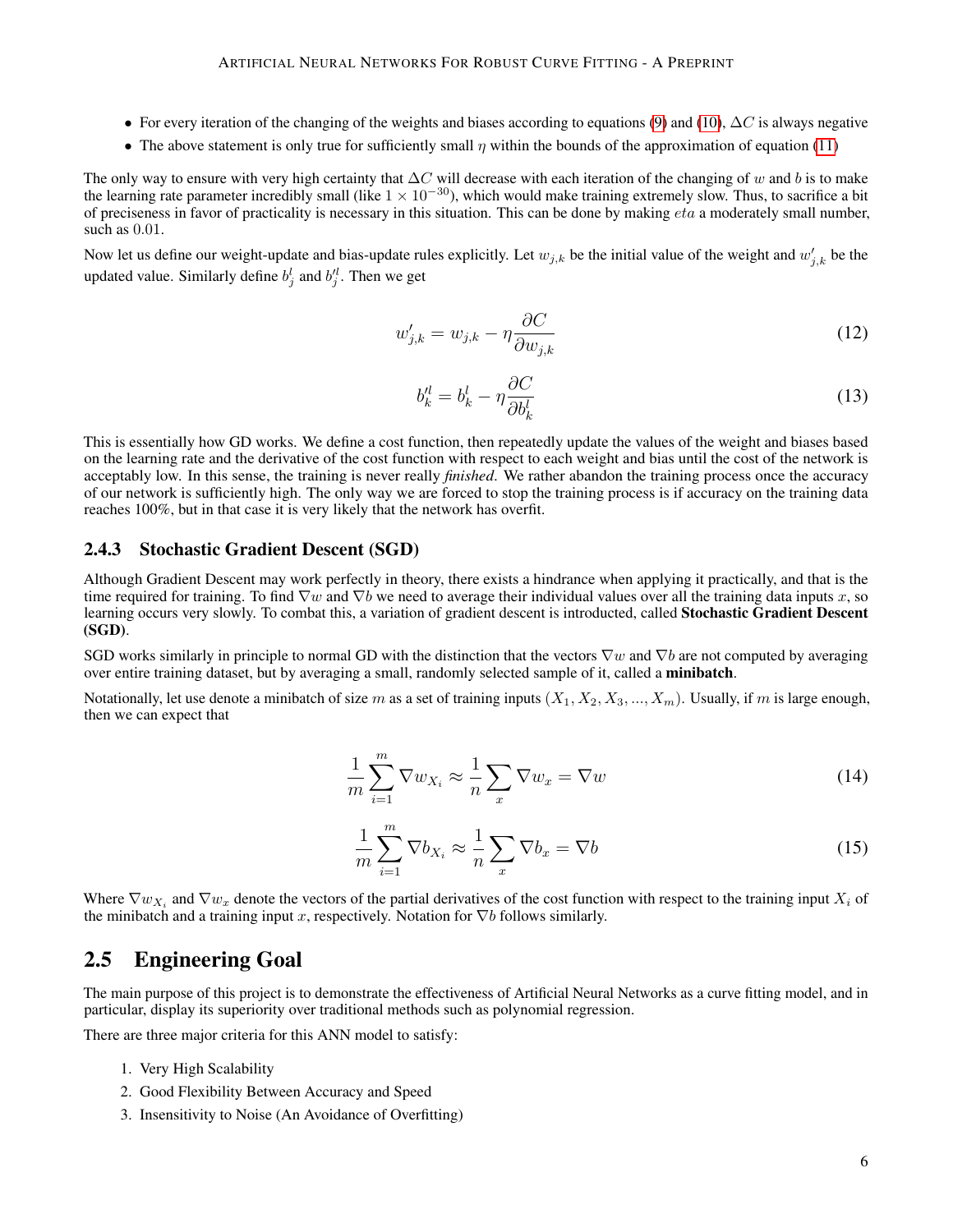- For every iteration of the changing of the weights and biases according to equations [\(9\)](#page-4-2) and [\(10\)](#page-4-3),  $\Delta C$  is always negative
- The above statement is only true for sufficiently small  $\eta$  within the bounds of the approximation of equation [\(11\)](#page-4-1)

The only way to ensure with very high certainty that  $\Delta C$  will decrease with each iteration of the changing of w and b is to make the learning rate parameter incredibly small (like  $1 \times 10^{-30}$ ), which would make training extremely slow. Thus, to sacrifice a bit of preciseness in favor of practicality is necessary in this situation. This can be done by making  $eta$  a moderately small number, such as 0.01.

Now let us define our weight-update and bias-update rules explicitly. Let  $w_{j,k}$  be the initial value of the weight and  $w'_{j,k}$  be the updated value. Similarly define  $b_j^l$  and  $b_j^{\prime l}$ . Then we get

$$
w'_{j,k} = w_{j,k} - \eta \frac{\partial C}{\partial w_{j,k}} \tag{12}
$$

$$
b_k^{\prime l} = b_k^l - \eta \frac{\partial C}{\partial b_k^l} \tag{13}
$$

This is essentially how GD works. We define a cost function, then repeatedly update the values of the weight and biases based on the learning rate and the derivative of the cost function with respect to each weight and bias until the cost of the network is acceptably low. In this sense, the training is never really *finished*. We rather abandon the training process once the accuracy of our network is sufficiently high. The only way we are forced to stop the training process is if accuracy on the training data reaches 100%, but in that case it is very likely that the network has overfit.

#### 2.4.3 Stochastic Gradient Descent (SGD)

Although Gradient Descent may work perfectly in theory, there exists a hindrance when applying it practically, and that is the time required for training. To find  $\nabla w$  and  $\nabla b$  we need to average their individual values over all the training data inputs x, so learning occurs very slowly. To combat this, a variation of gradient descent is introducted, called Stochastic Gradient Descent (SGD).

SGD works similarly in principle to normal GD with the distinction that the vectors  $\nabla w$  and  $\nabla b$  are not computed by averaging over entire training dataset, but by averaging a small, randomly selected sample of it, called a minibatch.

Notationally, let use denote a minibatch of size m as a set of training inputs  $(X_1, X_2, X_3, ..., X_m)$ . Usually, if m is large enough, then we can expect that

$$
\frac{1}{m} \sum_{i=1}^{m} \nabla w_{X_i} \approx \frac{1}{n} \sum_{x} \nabla w_x = \nabla w \tag{14}
$$

$$
\frac{1}{m}\sum_{i=1}^{m}\nabla b_{X_i} \approx \frac{1}{n}\sum_{x}\nabla b_x = \nabla b \tag{15}
$$

Where  $\nabla w_{X_i}$  and  $\nabla w_x$  denote the vectors of the partial derivatives of the cost function with respect to the training input  $X_i$  of the minibatch and a training input x, respectively. Notation for  $\nabla b$  follows similarly.

### 2.5 Engineering Goal

The main purpose of this project is to demonstrate the effectiveness of Artificial Neural Networks as a curve fitting model, and in particular, display its superiority over traditional methods such as polynomial regression.

There are three major criteria for this ANN model to satisfy:

- 1. Very High Scalability
- 2. Good Flexibility Between Accuracy and Speed
- 3. Insensitivity to Noise (An Avoidance of Overfitting)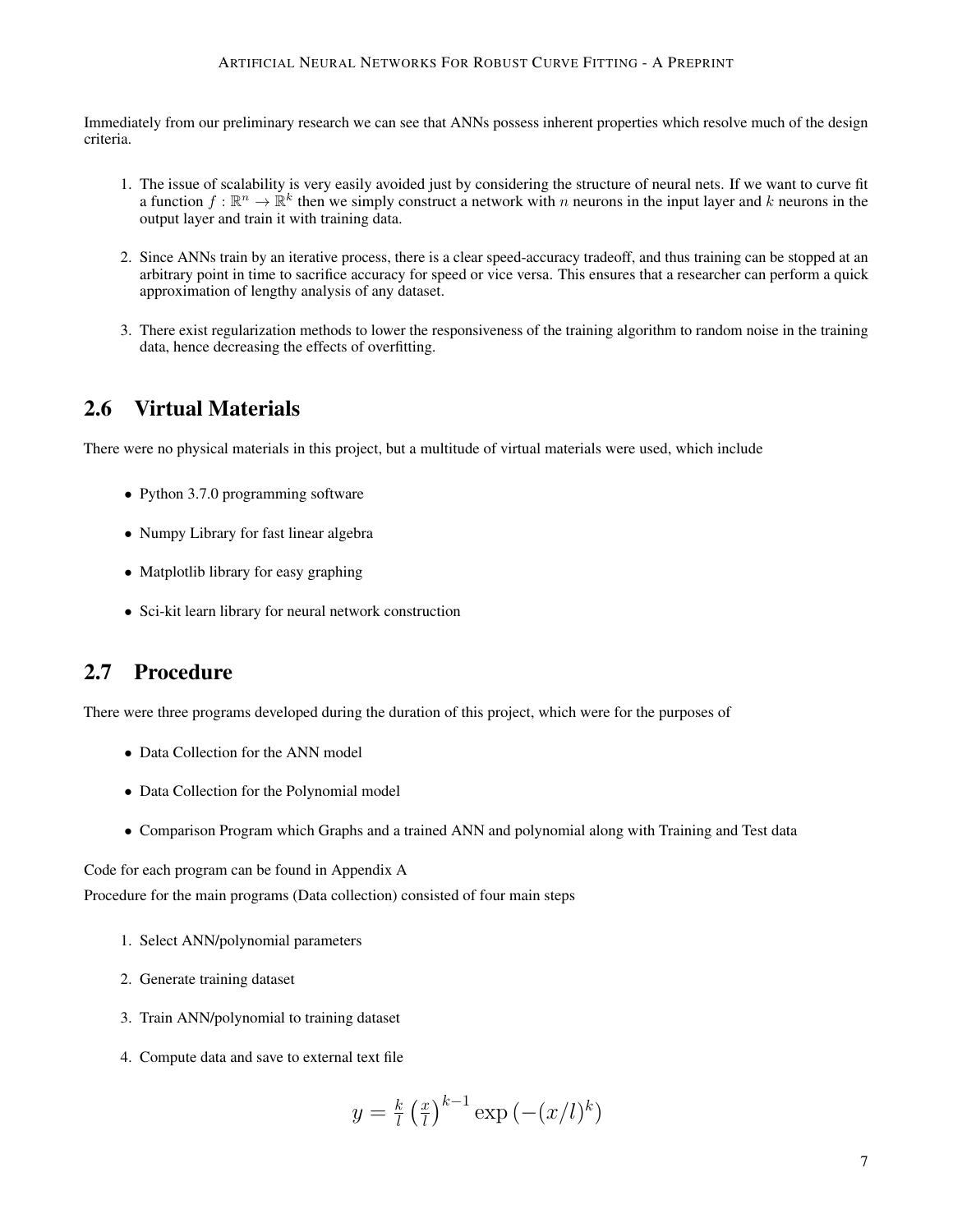#### ARTIFICIAL NEURAL NETWORKS FOR ROBUST CURVE FITTING - A PREPRINT

Immediately from our preliminary research we can see that ANNs possess inherent properties which resolve much of the design criteria.

- 1. The issue of scalability is very easily avoided just by considering the structure of neural nets. If we want to curve fit a function  $f: \mathbb{R}^n \to \mathbb{R}^k$  then we simply construct a network with n neurons in the input layer and k neurons in the output layer and train it with training data.
- 2. Since ANNs train by an iterative process, there is a clear speed-accuracy tradeoff, and thus training can be stopped at an arbitrary point in time to sacrifice accuracy for speed or vice versa. This ensures that a researcher can perform a quick approximation of lengthy analysis of any dataset.
- 3. There exist regularization methods to lower the responsiveness of the training algorithm to random noise in the training data, hence decreasing the effects of overfitting.

### 2.6 Virtual Materials

There were no physical materials in this project, but a multitude of virtual materials were used, which include

- Python 3.7.0 programming software
- Numpy Library for fast linear algebra
- Matplotlib library for easy graphing
- Sci-kit learn library for neural network construction

### 2.7 Procedure

There were three programs developed during the duration of this project, which were for the purposes of

- Data Collection for the ANN model
- Data Collection for the Polynomial model
- Comparison Program which Graphs and a trained ANN and polynomial along with Training and Test data

Code for each program can be found in Appendix A

Procedure for the main programs (Data collection) consisted of four main steps

- 1. Select ANN/polynomial parameters
- 2. Generate training dataset
- 3. Train ANN/polynomial to training dataset
- 4. Compute data and save to external text file

$$
y = \frac{k}{l} \left(\frac{x}{l}\right)^{k-1} \exp\left(-\left(x/l\right)^k\right)
$$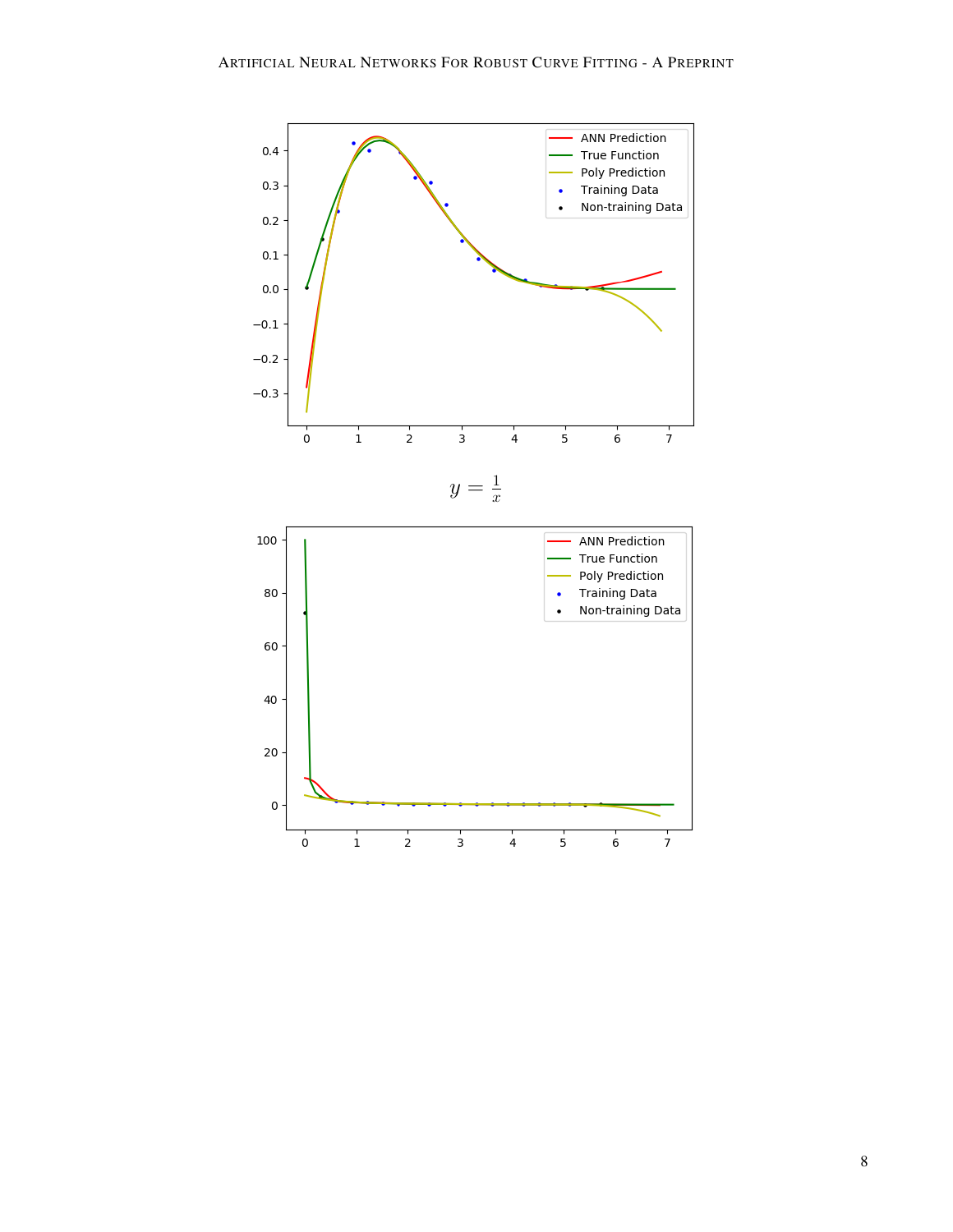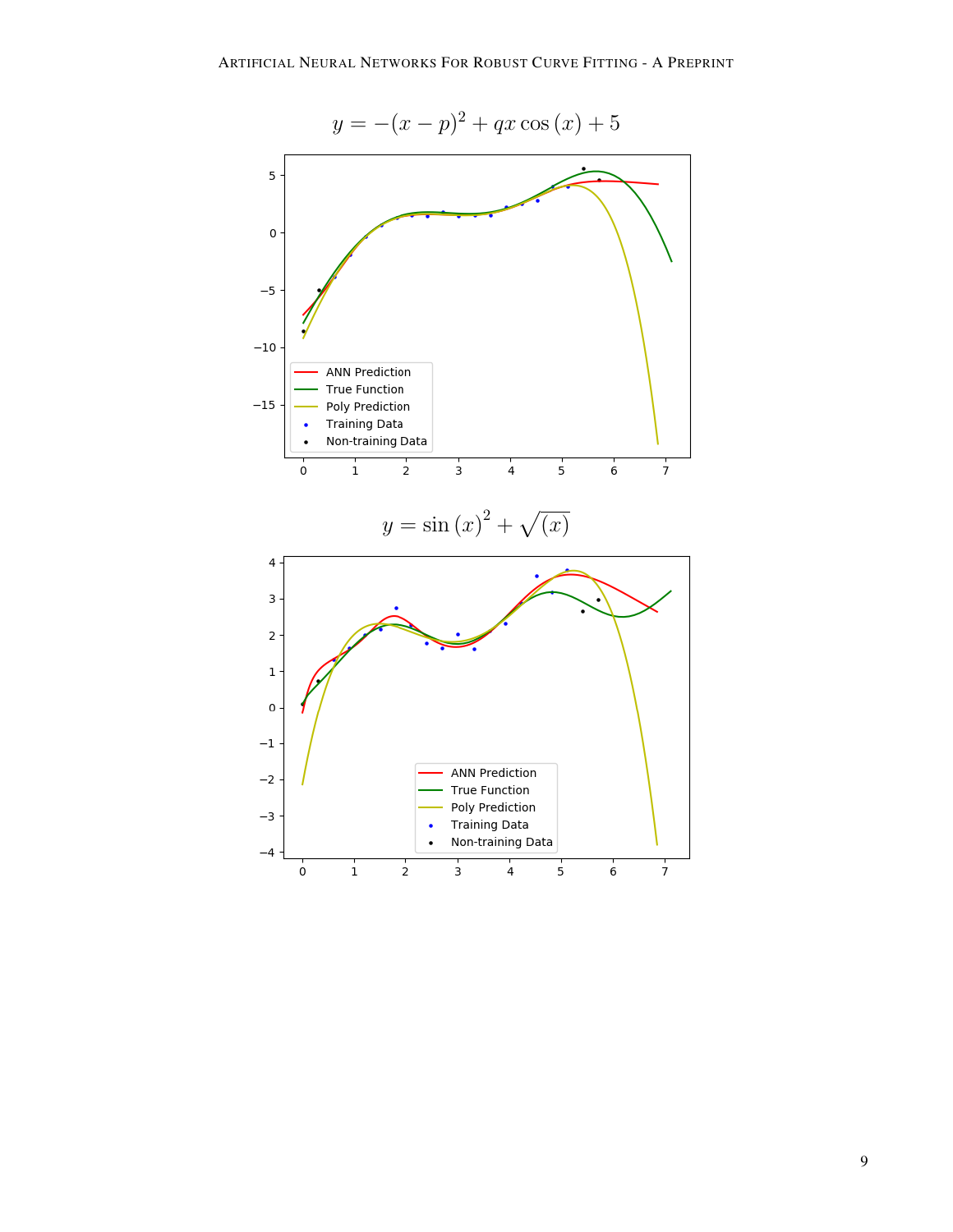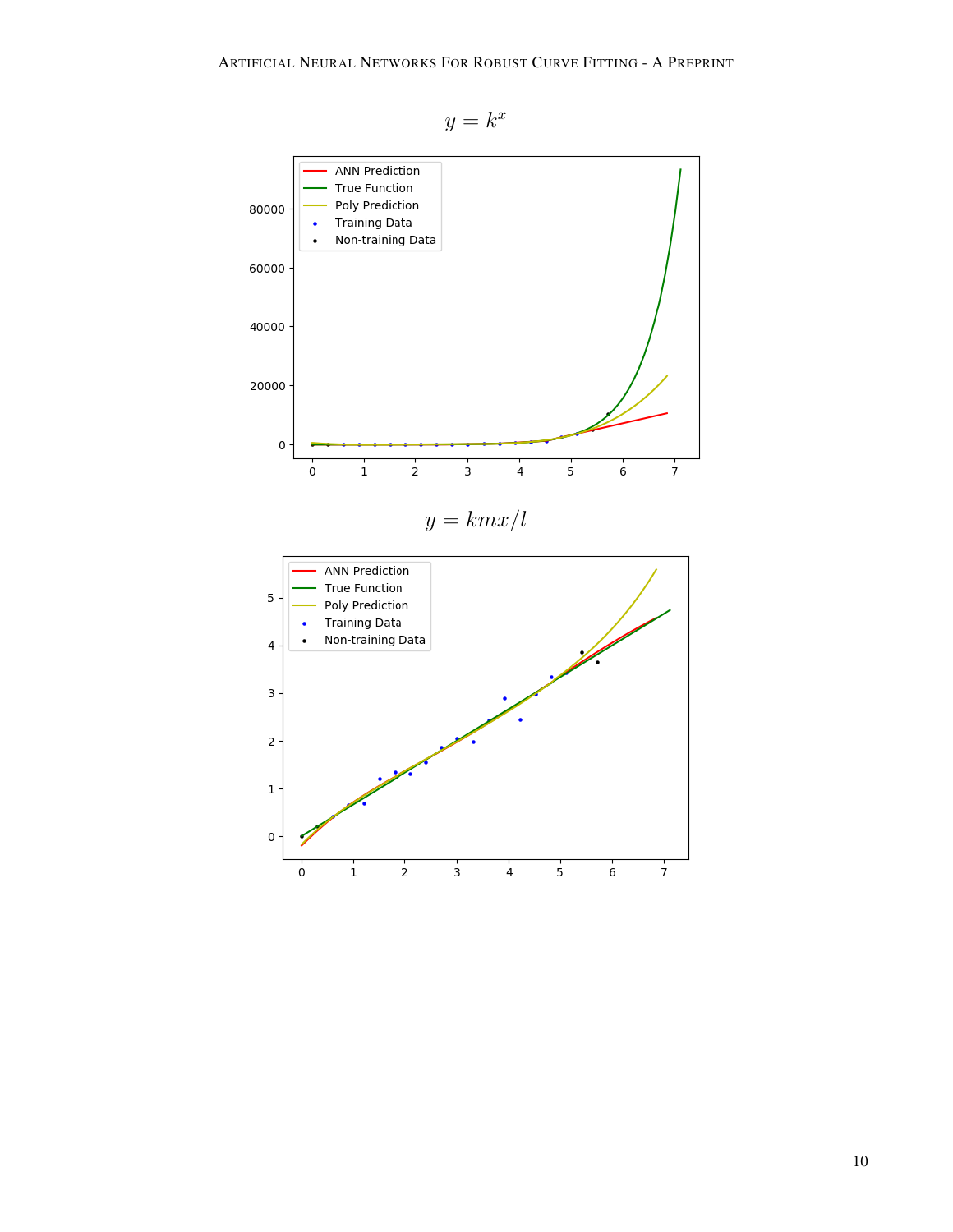

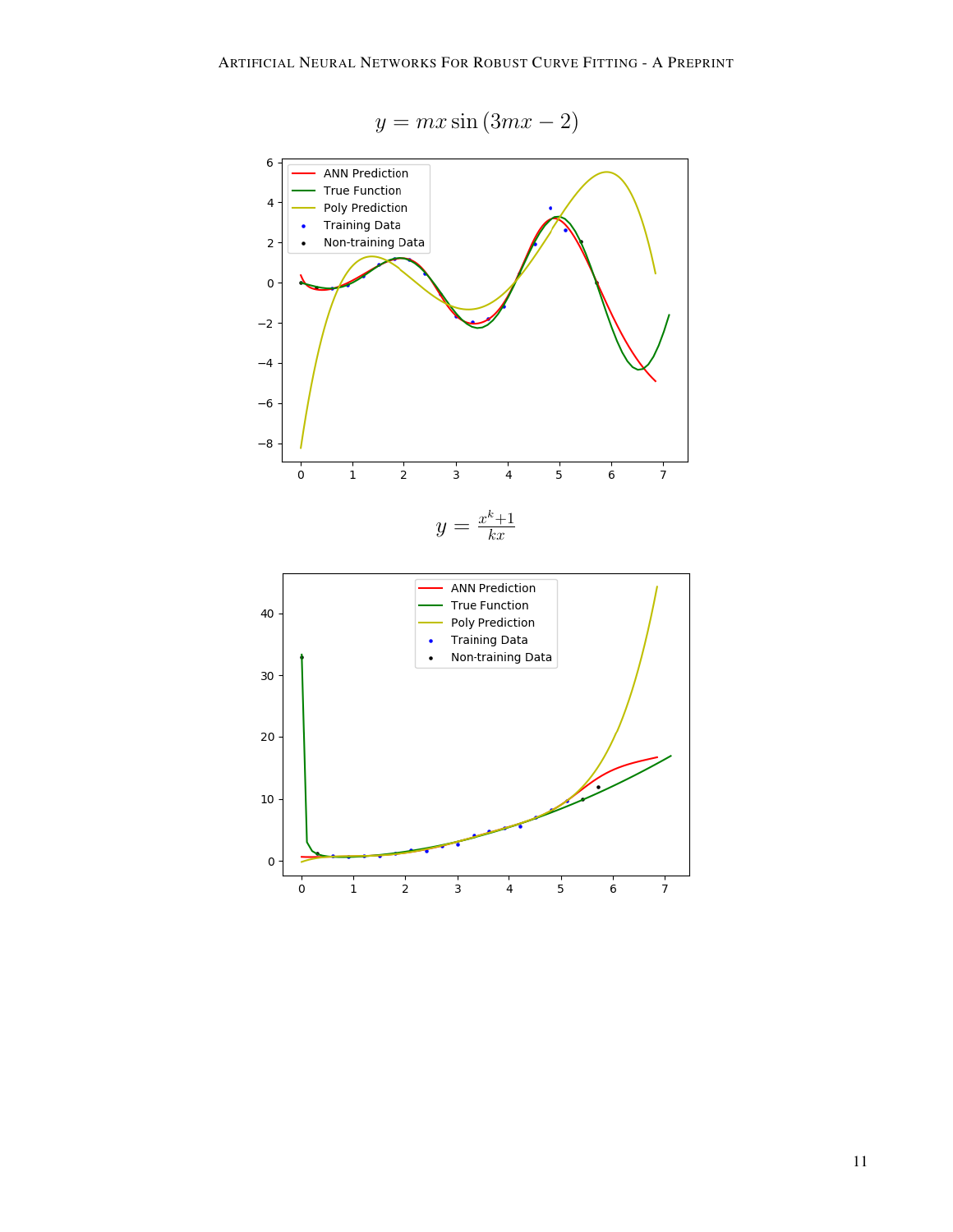$$
y = mx\sin(3mx - 2)
$$

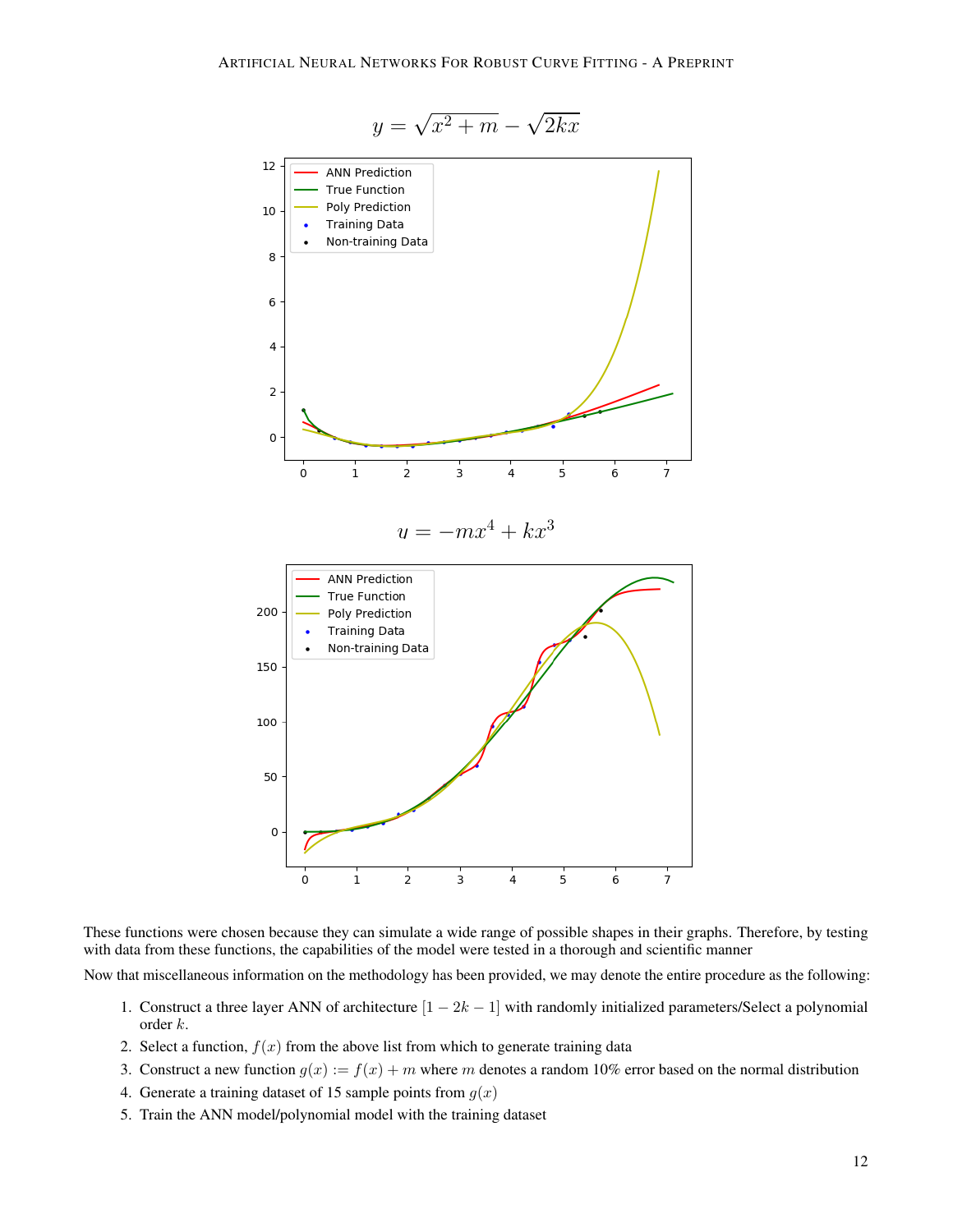

$$
y = \sqrt{x^2 + m} - \sqrt{2kx}
$$

These functions were chosen because they can simulate a wide range of possible shapes in their graphs. Therefore, by testing with data from these functions, the capabilities of the model were tested in a thorough and scientific manner

Now that miscellaneous information on the methodology has been provided, we may denote the entire procedure as the following:

- 1. Construct a three layer ANN of architecture  $[1 2k 1]$  with randomly initialized parameters/Select a polynomial order k.
- 2. Select a function,  $f(x)$  from the above list from which to generate training data
- 3. Construct a new function  $g(x) := f(x) + m$  where m denotes a random 10% error based on the normal distribution
- 4. Generate a training dataset of 15 sample points from  $g(x)$
- 5. Train the ANN model/polynomial model with the training dataset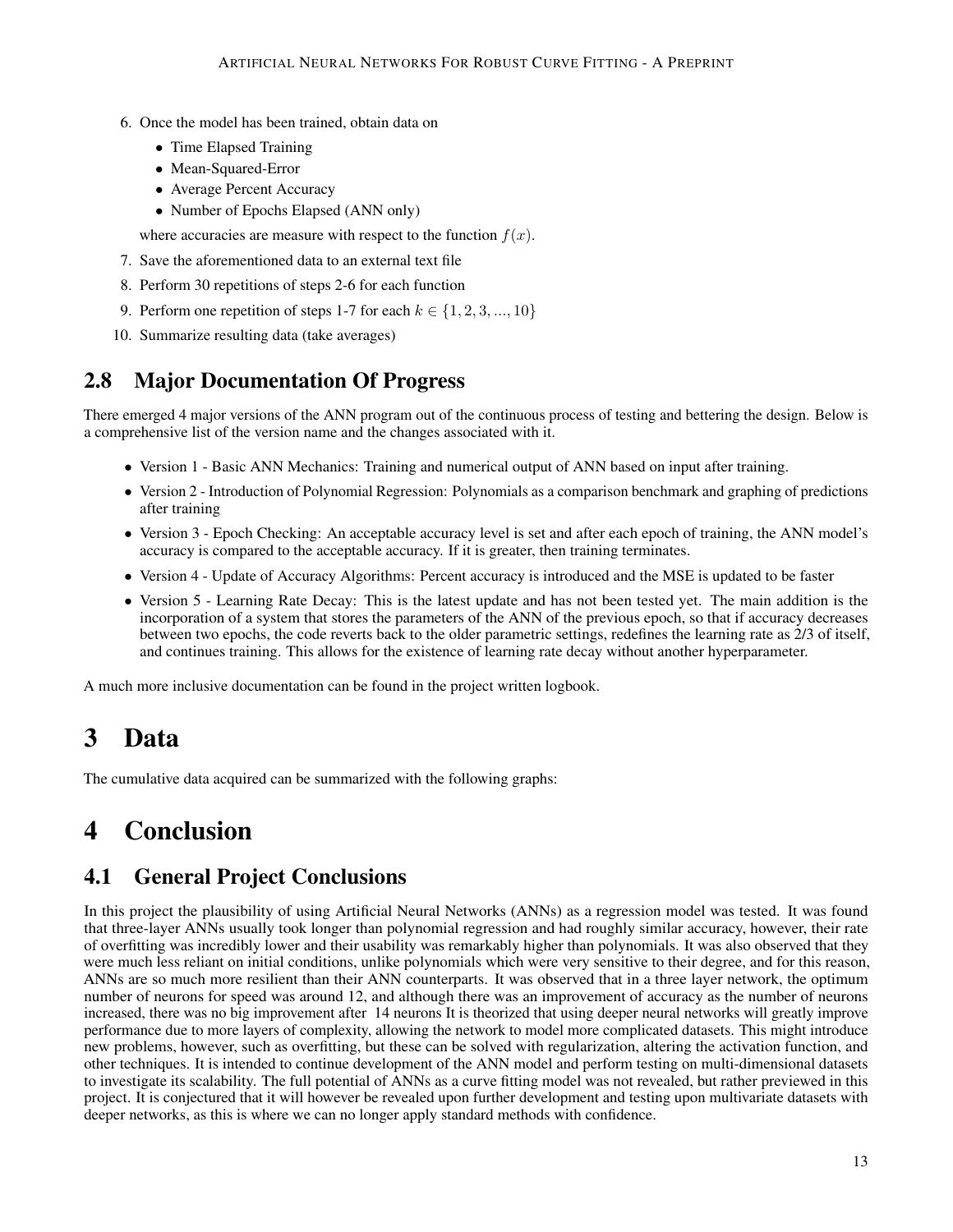- 6. Once the model has been trained, obtain data on
	- Time Elapsed Training
	- Mean-Squared-Error
	- Average Percent Accuracy
	- Number of Epochs Elapsed (ANN only)

where accuracies are measure with respect to the function  $f(x)$ .

- 7. Save the aforementioned data to an external text file
- 8. Perform 30 repetitions of steps 2-6 for each function
- 9. Perform one repetition of steps 1-7 for each  $k \in \{1, 2, 3, ..., 10\}$
- 10. Summarize resulting data (take averages)

### 2.8 Major Documentation Of Progress

There emerged 4 major versions of the ANN program out of the continuous process of testing and bettering the design. Below is a comprehensive list of the version name and the changes associated with it.

- Version 1 Basic ANN Mechanics: Training and numerical output of ANN based on input after training.
- Version 2 Introduction of Polynomial Regression: Polynomials as a comparison benchmark and graphing of predictions after training
- Version 3 Epoch Checking: An acceptable accuracy level is set and after each epoch of training, the ANN model's accuracy is compared to the acceptable accuracy. If it is greater, then training terminates.
- Version 4 Update of Accuracy Algorithms: Percent accuracy is introduced and the MSE is updated to be faster
- Version 5 Learning Rate Decay: This is the latest update and has not been tested yet. The main addition is the incorporation of a system that stores the parameters of the ANN of the previous epoch, so that if accuracy decreases between two epochs, the code reverts back to the older parametric settings, redefines the learning rate as 2/3 of itself, and continues training. This allows for the existence of learning rate decay without another hyperparameter.

A much more inclusive documentation can be found in the project written logbook.

# 3 Data

The cumulative data acquired can be summarized with the following graphs:

# 4 Conclusion

### 4.1 General Project Conclusions

In this project the plausibility of using Artificial Neural Networks (ANNs) as a regression model was tested. It was found that three-layer ANNs usually took longer than polynomial regression and had roughly similar accuracy, however, their rate of overfitting was incredibly lower and their usability was remarkably higher than polynomials. It was also observed that they were much less reliant on initial conditions, unlike polynomials which were very sensitive to their degree, and for this reason, ANNs are so much more resilient than their ANN counterparts. It was observed that in a three layer network, the optimum number of neurons for speed was around 12, and although there was an improvement of accuracy as the number of neurons increased, there was no big improvement after 14 neurons It is theorized that using deeper neural networks will greatly improve performance due to more layers of complexity, allowing the network to model more complicated datasets. This might introduce new problems, however, such as overfitting, but these can be solved with regularization, altering the activation function, and other techniques. It is intended to continue development of the ANN model and perform testing on multi-dimensional datasets to investigate its scalability. The full potential of ANNs as a curve fitting model was not revealed, but rather previewed in this project. It is conjectured that it will however be revealed upon further development and testing upon multivariate datasets with deeper networks, as this is where we can no longer apply standard methods with confidence.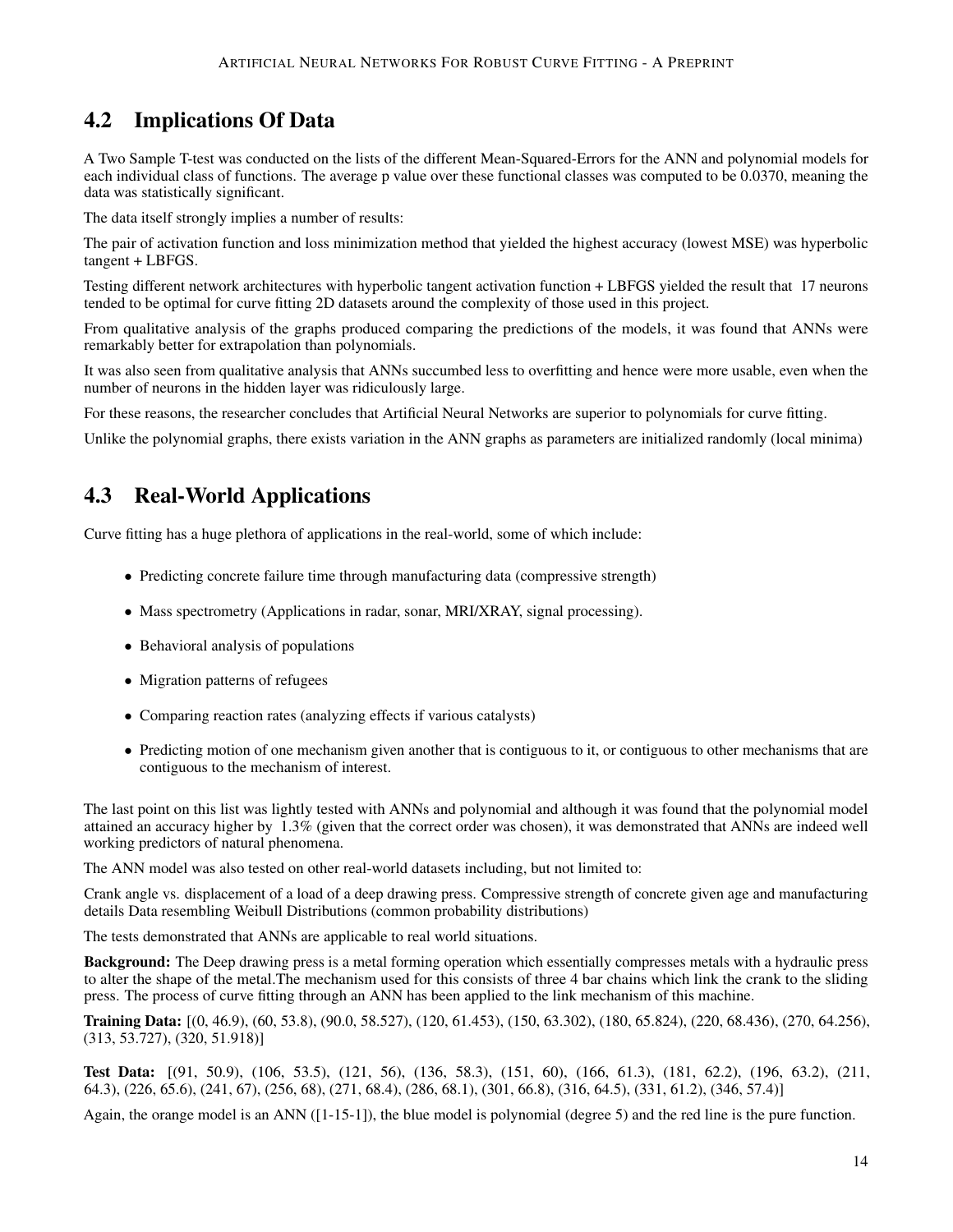## 4.2 Implications Of Data

A Two Sample T-test was conducted on the lists of the different Mean-Squared-Errors for the ANN and polynomial models for each individual class of functions. The average p value over these functional classes was computed to be 0.0370, meaning the data was statistically significant.

The data itself strongly implies a number of results:

The pair of activation function and loss minimization method that yielded the highest accuracy (lowest MSE) was hyperbolic tangent + LBFGS.

Testing different network architectures with hyperbolic tangent activation function + LBFGS yielded the result that 17 neurons tended to be optimal for curve fitting 2D datasets around the complexity of those used in this project.

From qualitative analysis of the graphs produced comparing the predictions of the models, it was found that ANNs were remarkably better for extrapolation than polynomials.

It was also seen from qualitative analysis that ANNs succumbed less to overfitting and hence were more usable, even when the number of neurons in the hidden layer was ridiculously large.

For these reasons, the researcher concludes that Artificial Neural Networks are superior to polynomials for curve fitting.

Unlike the polynomial graphs, there exists variation in the ANN graphs as parameters are initialized randomly (local minima)

## 4.3 Real-World Applications

Curve fitting has a huge plethora of applications in the real-world, some of which include:

- Predicting concrete failure time through manufacturing data (compressive strength)
- Mass spectrometry (Applications in radar, sonar, MRI/XRAY, signal processing).
- Behavioral analysis of populations
- Migration patterns of refugees
- Comparing reaction rates (analyzing effects if various catalysts)
- Predicting motion of one mechanism given another that is contiguous to it, or contiguous to other mechanisms that are contiguous to the mechanism of interest.

The last point on this list was lightly tested with ANNs and polynomial and although it was found that the polynomial model attained an accuracy higher by 1.3% (given that the correct order was chosen), it was demonstrated that ANNs are indeed well working predictors of natural phenomena.

The ANN model was also tested on other real-world datasets including, but not limited to:

Crank angle vs. displacement of a load of a deep drawing press. Compressive strength of concrete given age and manufacturing details Data resembling Weibull Distributions (common probability distributions)

The tests demonstrated that ANNs are applicable to real world situations.

Background: The Deep drawing press is a metal forming operation which essentially compresses metals with a hydraulic press to alter the shape of the metal.The mechanism used for this consists of three 4 bar chains which link the crank to the sliding press. The process of curve fitting through an ANN has been applied to the link mechanism of this machine.

Training Data: [(0, 46.9), (60, 53.8), (90.0, 58.527), (120, 61.453), (150, 63.302), (180, 65.824), (220, 68.436), (270, 64.256), (313, 53.727), (320, 51.918)]

Test Data: [(91, 50.9), (106, 53.5), (121, 56), (136, 58.3), (151, 60), (166, 61.3), (181, 62.2), (196, 63.2), (211, 64.3), (226, 65.6), (241, 67), (256, 68), (271, 68.4), (286, 68.1), (301, 66.8), (316, 64.5), (331, 61.2), (346, 57.4)]

Again, the orange model is an ANN ([1-15-1]), the blue model is polynomial (degree 5) and the red line is the pure function.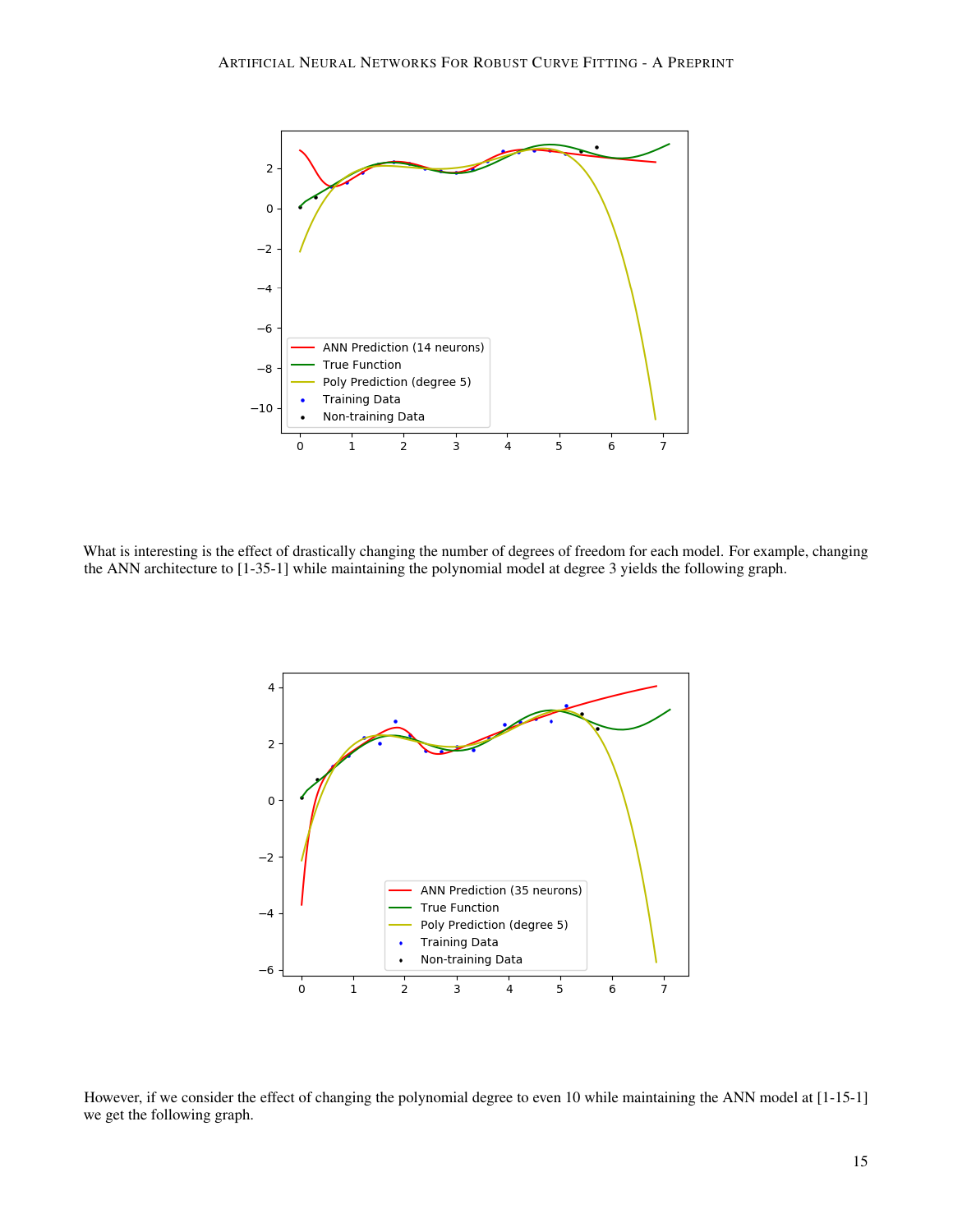

What is interesting is the effect of drastically changing the number of degrees of freedom for each model. For example, changing the ANN architecture to [1-35-1] while maintaining the polynomial model at degree 3 yields the following graph.



However, if we consider the effect of changing the polynomial degree to even 10 while maintaining the ANN model at [1-15-1] we get the following graph.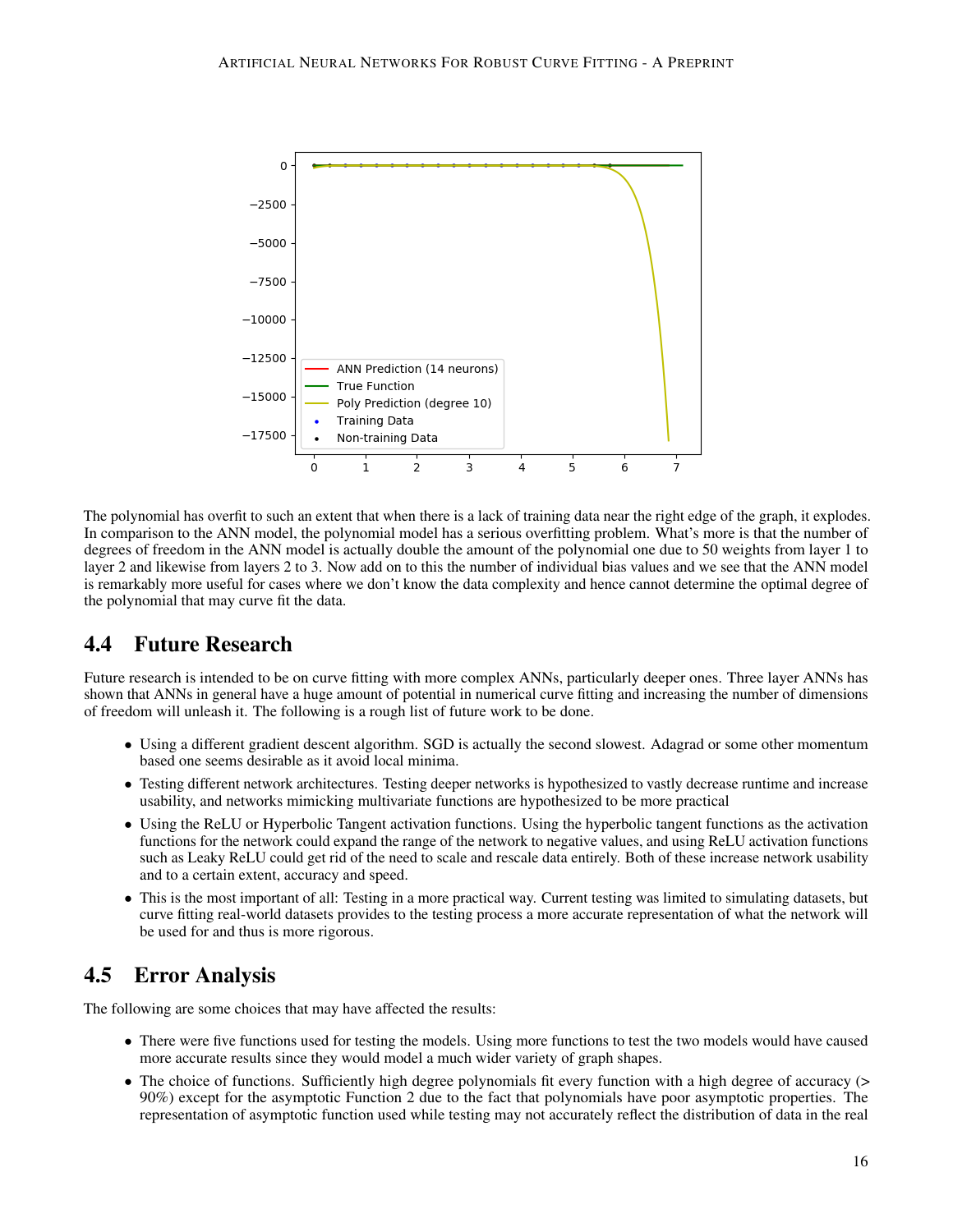

The polynomial has overfit to such an extent that when there is a lack of training data near the right edge of the graph, it explodes. In comparison to the ANN model, the polynomial model has a serious overfitting problem. What's more is that the number of degrees of freedom in the ANN model is actually double the amount of the polynomial one due to 50 weights from layer 1 to layer 2 and likewise from layers 2 to 3. Now add on to this the number of individual bias values and we see that the ANN model is remarkably more useful for cases where we don't know the data complexity and hence cannot determine the optimal degree of the polynomial that may curve fit the data.

# 4.4 Future Research

Future research is intended to be on curve fitting with more complex ANNs, particularly deeper ones. Three layer ANNs has shown that ANNs in general have a huge amount of potential in numerical curve fitting and increasing the number of dimensions of freedom will unleash it. The following is a rough list of future work to be done.

- Using a different gradient descent algorithm. SGD is actually the second slowest. Adagrad or some other momentum based one seems desirable as it avoid local minima.
- Testing different network architectures. Testing deeper networks is hypothesized to vastly decrease runtime and increase usability, and networks mimicking multivariate functions are hypothesized to be more practical
- Using the ReLU or Hyperbolic Tangent activation functions. Using the hyperbolic tangent functions as the activation functions for the network could expand the range of the network to negative values, and using ReLU activation functions such as Leaky ReLU could get rid of the need to scale and rescale data entirely. Both of these increase network usability and to a certain extent, accuracy and speed.
- This is the most important of all: Testing in a more practical way. Current testing was limited to simulating datasets, but curve fitting real-world datasets provides to the testing process a more accurate representation of what the network will be used for and thus is more rigorous.

## 4.5 Error Analysis

The following are some choices that may have affected the results:

- There were five functions used for testing the models. Using more functions to test the two models would have caused more accurate results since they would model a much wider variety of graph shapes.
- The choice of functions. Sufficiently high degree polynomials fit every function with a high degree of accuracy (> 90%) except for the asymptotic Function 2 due to the fact that polynomials have poor asymptotic properties. The representation of asymptotic function used while testing may not accurately reflect the distribution of data in the real